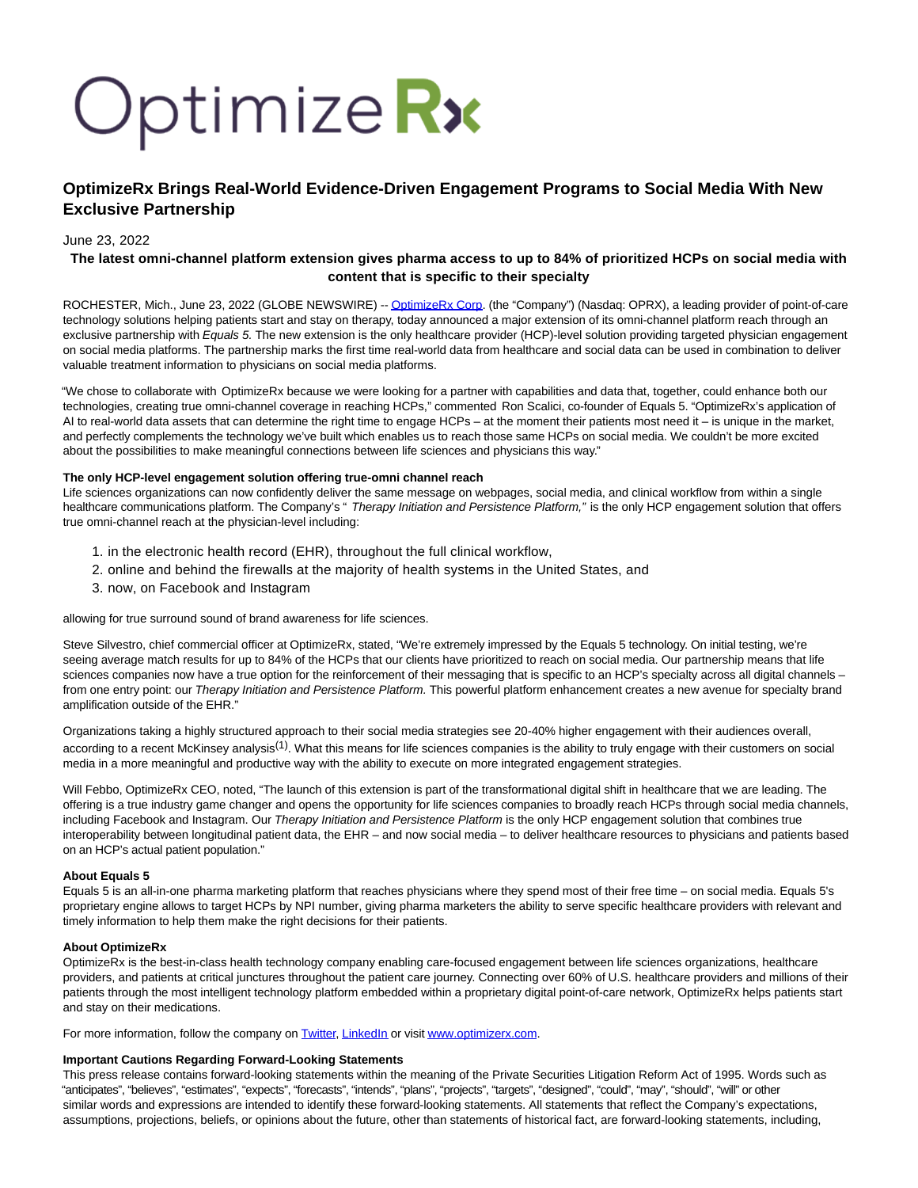# Optimize Rx

# **OptimizeRx Brings Real-World Evidence-Driven Engagement Programs to Social Media With New Exclusive Partnership**

## June 23, 2022

### **The latest omni-channel platform extension gives pharma access to up to 84% of prioritized HCPs on social media with content that is specific to their specialty**

ROCHESTER, Mich., June 23, 2022 (GLOBE NEWSWIRE) -[- OptimizeRx Corp.](https://www.globenewswire.com/Tracker?data=bICra5fMu558yU7Yxfw4xc0-mGZl0k5owZSBwBtNbgQfgUslEZHSnGX6Ci-AE_j6ZGjh7s_7vXmKq-oxqXirOw==) (the "Company") (Nasdaq: OPRX), a leading provider of point-of-care technology solutions helping patients start and stay on therapy, today announced a major extension of its omni-channel platform reach through an exclusive partnership with Equals 5. The new extension is the only healthcare provider (HCP)-level solution providing targeted physician engagement on social media platforms. The partnership marks the first time real-world data from healthcare and social data can be used in combination to deliver valuable treatment information to physicians on social media platforms.

"We chose to collaborate with OptimizeRx because we were looking for a partner with capabilities and data that, together, could enhance both our technologies, creating true omni-channel coverage in reaching HCPs," commented Ron Scalici, co-founder of Equals 5. "OptimizeRx's application of AI to real-world data assets that can determine the right time to engage HCPs – at the moment their patients most need it – is unique in the market, and perfectly complements the technology we've built which enables us to reach those same HCPs on social media. We couldn't be more excited about the possibilities to make meaningful connections between life sciences and physicians this way."

#### **The only HCP-level engagement solution offering true-omni channel reach**

Life sciences organizations can now confidently deliver the same message on webpages, social media, and clinical workflow from within a single healthcare communications platform. The Company's "Therapy Initiation and Persistence Platform," is the only HCP engagement solution that offers true omni-channel reach at the physician-level including:

- 1. in the electronic health record (EHR), throughout the full clinical workflow,
- 2. online and behind the firewalls at the majority of health systems in the United States, and
- 3. now, on Facebook and Instagram

allowing for true surround sound of brand awareness for life sciences.

Steve Silvestro, chief commercial officer at OptimizeRx, stated, "We're extremely impressed by the Equals 5 technology. On initial testing, we're seeing average match results for up to 84% of the HCPs that our clients have prioritized to reach on social media. Our partnership means that life sciences companies now have a true option for the reinforcement of their messaging that is specific to an HCP's specialty across all digital channels from one entry point: our Therapy Initiation and Persistence Platform. This powerful platform enhancement creates a new avenue for specialty brand amplification outside of the EHR."

Organizations taking a highly structured approach to their social media strategies see 20-40% higher engagement with their audiences overall, according to a recent McKinsey analysis<sup>(1)</sup>. What this means for life sciences companies is the ability to truly engage with their customers on social media in a more meaningful and productive way with the ability to execute on more integrated engagement strategies.

Will Febbo, OptimizeRx CEO, noted, "The launch of this extension is part of the transformational digital shift in healthcare that we are leading. The offering is a true industry game changer and opens the opportunity for life sciences companies to broadly reach HCPs through social media channels, including Facebook and Instagram. Our Therapy Initiation and Persistence Platform is the only HCP engagement solution that combines true interoperability between longitudinal patient data, the EHR – and now social media – to deliver healthcare resources to physicians and patients based on an HCP's actual patient population."

#### **About Equals 5**

Equals 5 is an all-in-one pharma marketing platform that reaches physicians where they spend most of their free time – on social media. Equals 5's proprietary engine allows to target HCPs by NPI number, giving pharma marketers the ability to serve specific healthcare providers with relevant and timely information to help them make the right decisions for their patients.

#### **About OptimizeRx**

OptimizeRx is the best-in-class health technology company enabling care-focused engagement between life sciences organizations, healthcare providers, and patients at critical junctures throughout the patient care journey. Connecting over 60% of U.S. healthcare providers and millions of their patients through the most intelligent technology platform embedded within a proprietary digital point-of-care network, OptimizeRx helps patients start and stay on their medications.

For more information, follow the company on [Twitter,](https://www.globenewswire.com/Tracker?data=j9RGk2BFg9HaXMHKOqmi4MkM3JW-PYUZxiwt0Un4iTLFM2nVwmAkvqrf1FVRcoqZWf65q5CbBeSE0KXGhpGBYQ==) [LinkedIn o](https://www.globenewswire.com/Tracker?data=utn70AFf1UvsmdUhAQwAZvizYG4F3CprHnPOcF8f9Hj8sh5iVI-cD1E7JXNLZv6CJWrnS88zYh_pFJB3WBLveL1UIdvujzbvs36_xLMHBvw=)r visit www.optimizerx.com.

#### **Important Cautions Regarding Forward-Looking Statements**

This press release contains forward-looking statements within the meaning of the Private Securities Litigation Reform Act of 1995. Words such as "anticipates", "believes", "estimates", "expects", "forecasts", "intends", "plans", "projects", "targets", "designed", "could", "may", "should", "will" or other similar words and expressions are intended to identify these forward-looking statements. All statements that reflect the Company's expectations, assumptions, projections, beliefs, or opinions about the future, other than statements of historical fact, are forward-looking statements, including,